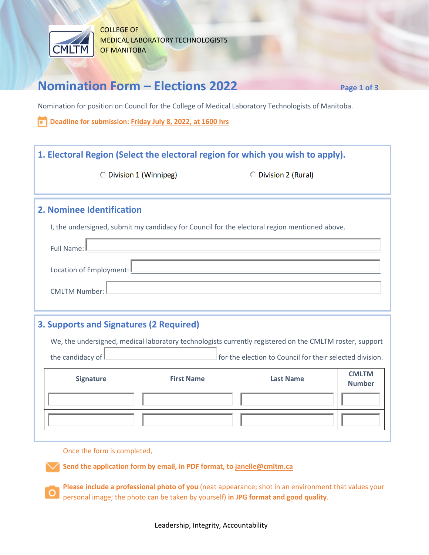

COLLEGE OF MEDICAL LABORATORY TECHNOLOGISTS OF MANITOBA

## **Nomination Form – Elections 2022 Page 1 of 3**

Nomination for position on Council for the College of Medical Laboratory Technologists of Manitoba.

**Deadline for submission: Friday July 8, 2022, at 1600 hrs**

### **1. Electoral Region (Select the electoral region for which you wish to apply).**

O Division 1 (Winnipeg)

O Division 2 (Rural)

#### **2. Nominee Identification**

I, the undersigned, submit my candidacy for Council for the electoral region mentioned above.

| Full Name: L              |
|---------------------------|
| Location of Employment: L |
| CMLTM Number: L           |

### **3. Supports and Signatures (2 Required)**

We, the undersigned, medical laboratory technologists currently registered on the CMLTM roster, support

the candidacy of  $\Box$  for the election to Council for their selected division.

| Signature | <b>First Name</b> | <b>Last Name</b> | <b>CMLTM</b><br><b>Number</b> |
|-----------|-------------------|------------------|-------------------------------|
|           |                   |                  |                               |
|           |                   |                  |                               |

Once the form is completed,

**Send the application form by email, in PDF format, t[o janelle@cmltm.ca](mailto:janelle@cmltm.ca)**

**Please include a professional photo of you** (neat appearance; shot in an environment that values your personal image; the photo can be taken by yourself) **in JPG format and good quality**.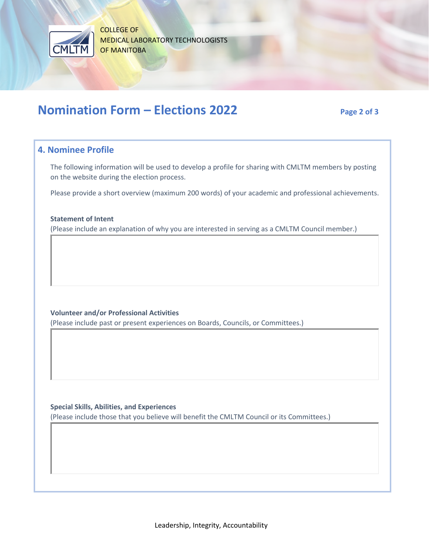

COLLEGE OF MEDICAL LABORATORY TECHNOLOGISTS OF MANITOBA

# **Nomination Form – Elections 2022** Page 2 of 3

#### **4. Nominee Profile**

The following information will be used to develop a profile for sharing with CMLTM members by posting on the website during the election process.

Please provide a short overview (maximum 200 words) of your academic and professional achievements.

#### **Statement of Intent**

(Please include an explanation of why you are interested in serving as a CMLTM Council member.)

**Volunteer and/or Professional Activities** 

(Please include past or present experiences on Boards, Councils, or Committees.)

**Special Skills, Abilities, and Experiences**

(Please include those that you believe will benefit the CMLTM Council or its Committees.)